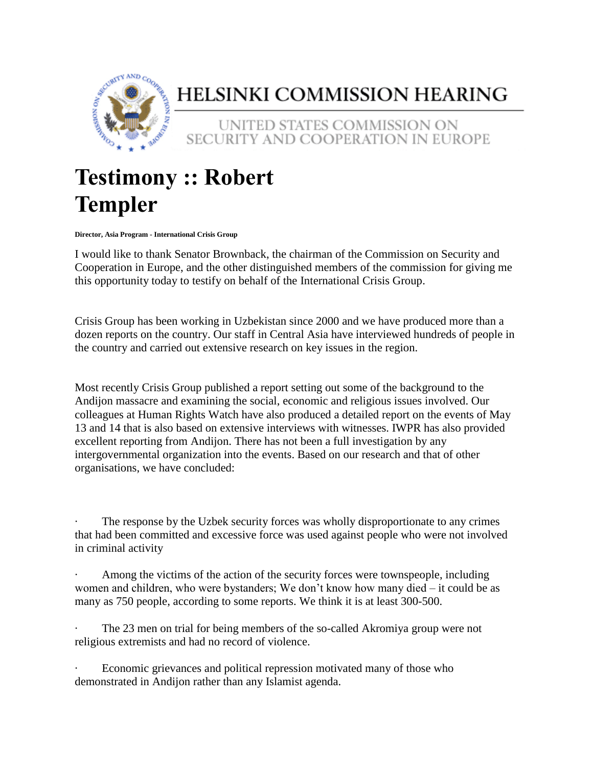

## HELSINKI COMMISSION HEARING

UNITED STATES COMMISSION ON SECURITY AND COOPERATION IN EUROPE

## **Testimony :: Robert Templer**

**Director, Asia Program - International Crisis Group**

I would like to thank Senator Brownback, the chairman of the Commission on Security and Cooperation in Europe, and the other distinguished members of the commission for giving me this opportunity today to testify on behalf of the International Crisis Group.

Crisis Group has been working in Uzbekistan since 2000 and we have produced more than a dozen reports on the country. Our staff in Central Asia have interviewed hundreds of people in the country and carried out extensive research on key issues in the region.

Most recently Crisis Group published a report setting out some of the background to the Andijon massacre and examining the social, economic and religious issues involved. Our colleagues at Human Rights Watch have also produced a detailed report on the events of May 13 and 14 that is also based on extensive interviews with witnesses. IWPR has also provided excellent reporting from Andijon. There has not been a full investigation by any intergovernmental organization into the events. Based on our research and that of other organisations, we have concluded:

The response by the Uzbek security forces was wholly disproportionate to any crimes that had been committed and excessive force was used against people who were not involved in criminal activity

Among the victims of the action of the security forces were townspeople, including women and children, who were bystanders; We don't know how many died – it could be as many as 750 people, according to some reports. We think it is at least 300-500.

The 23 men on trial for being members of the so-called Akromiya group were not religious extremists and had no record of violence.

Economic grievances and political repression motivated many of those who demonstrated in Andijon rather than any Islamist agenda.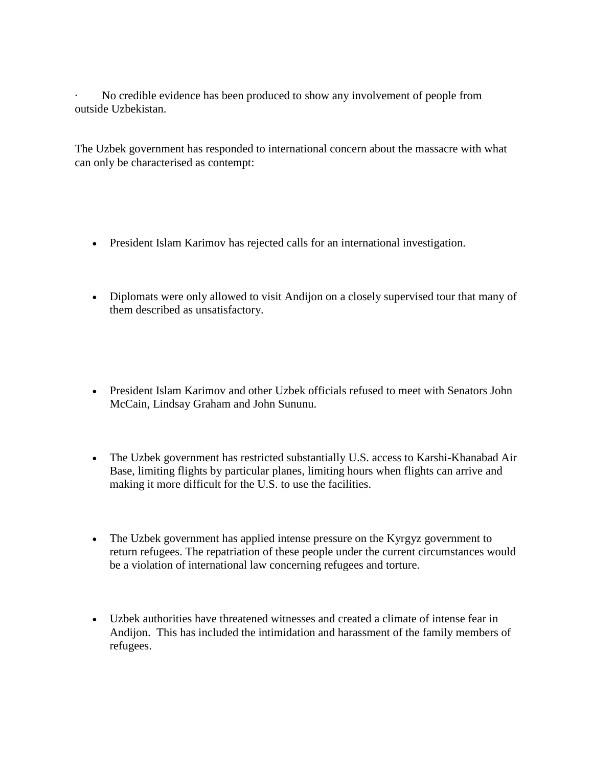No credible evidence has been produced to show any involvement of people from outside Uzbekistan.

The Uzbek government has responded to international concern about the massacre with what can only be characterised as contempt:

- President Islam Karimov has rejected calls for an international investigation.
- Diplomats were only allowed to visit Andijon on a closely supervised tour that many of them described as unsatisfactory.
- President Islam Karimov and other Uzbek officials refused to meet with Senators John McCain, Lindsay Graham and John Sununu.
- The Uzbek government has restricted substantially U.S. access to Karshi-Khanabad Air Base, limiting flights by particular planes, limiting hours when flights can arrive and making it more difficult for the U.S. to use the facilities.
- The Uzbek government has applied intense pressure on the Kyrgyz government to return refugees. The repatriation of these people under the current circumstances would be a violation of international law concerning refugees and torture.
- Uzbek authorities have threatened witnesses and created a climate of intense fear in Andijon. This has included the intimidation and harassment of the family members of refugees.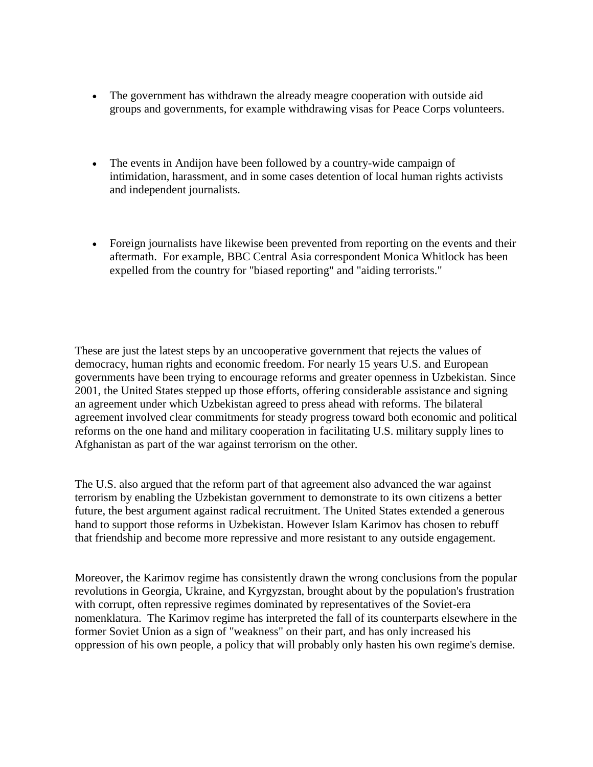- The government has withdrawn the already meagre cooperation with outside aid groups and governments, for example withdrawing visas for Peace Corps volunteers.
- The events in Andijon have been followed by a country-wide campaign of intimidation, harassment, and in some cases detention of local human rights activists and independent journalists.
- Foreign journalists have likewise been prevented from reporting on the events and their aftermath. For example, BBC Central Asia correspondent Monica Whitlock has been expelled from the country for "biased reporting" and "aiding terrorists."

These are just the latest steps by an uncooperative government that rejects the values of democracy, human rights and economic freedom. For nearly 15 years U.S. and European governments have been trying to encourage reforms and greater openness in Uzbekistan. Since 2001, the United States stepped up those efforts, offering considerable assistance and signing an agreement under which Uzbekistan agreed to press ahead with reforms. The bilateral agreement involved clear commitments for steady progress toward both economic and political reforms on the one hand and military cooperation in facilitating U.S. military supply lines to Afghanistan as part of the war against terrorism on the other.

The U.S. also argued that the reform part of that agreement also advanced the war against terrorism by enabling the Uzbekistan government to demonstrate to its own citizens a better future, the best argument against radical recruitment. The United States extended a generous hand to support those reforms in Uzbekistan. However Islam Karimov has chosen to rebuff that friendship and become more repressive and more resistant to any outside engagement.

Moreover, the Karimov regime has consistently drawn the wrong conclusions from the popular revolutions in Georgia, Ukraine, and Kyrgyzstan, brought about by the population's frustration with corrupt, often repressive regimes dominated by representatives of the Soviet-era nomenklatura. The Karimov regime has interpreted the fall of its counterparts elsewhere in the former Soviet Union as a sign of "weakness" on their part, and has only increased his oppression of his own people, a policy that will probably only hasten his own regime's demise.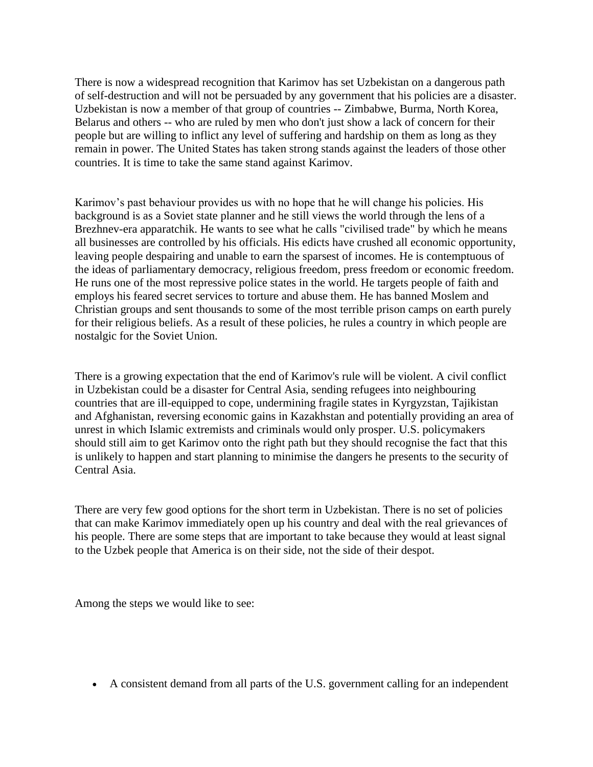There is now a widespread recognition that Karimov has set Uzbekistan on a dangerous path of self-destruction and will not be persuaded by any government that his policies are a disaster. Uzbekistan is now a member of that group of countries -- Zimbabwe, Burma, North Korea, Belarus and others -- who are ruled by men who don't just show a lack of concern for their people but are willing to inflict any level of suffering and hardship on them as long as they remain in power. The United States has taken strong stands against the leaders of those other countries. It is time to take the same stand against Karimov.

Karimov's past behaviour provides us with no hope that he will change his policies. His background is as a Soviet state planner and he still views the world through the lens of a Brezhnev-era apparatchik. He wants to see what he calls "civilised trade" by which he means all businesses are controlled by his officials. His edicts have crushed all economic opportunity, leaving people despairing and unable to earn the sparsest of incomes. He is contemptuous of the ideas of parliamentary democracy, religious freedom, press freedom or economic freedom. He runs one of the most repressive police states in the world. He targets people of faith and employs his feared secret services to torture and abuse them. He has banned Moslem and Christian groups and sent thousands to some of the most terrible prison camps on earth purely for their religious beliefs. As a result of these policies, he rules a country in which people are nostalgic for the Soviet Union.

There is a growing expectation that the end of Karimov's rule will be violent. A civil conflict in Uzbekistan could be a disaster for Central Asia, sending refugees into neighbouring countries that are ill-equipped to cope, undermining fragile states in Kyrgyzstan, Tajikistan and Afghanistan, reversing economic gains in Kazakhstan and potentially providing an area of unrest in which Islamic extremists and criminals would only prosper. U.S. policymakers should still aim to get Karimov onto the right path but they should recognise the fact that this is unlikely to happen and start planning to minimise the dangers he presents to the security of Central Asia.

There are very few good options for the short term in Uzbekistan. There is no set of policies that can make Karimov immediately open up his country and deal with the real grievances of his people. There are some steps that are important to take because they would at least signal to the Uzbek people that America is on their side, not the side of their despot.

Among the steps we would like to see:

A consistent demand from all parts of the U.S. government calling for an independent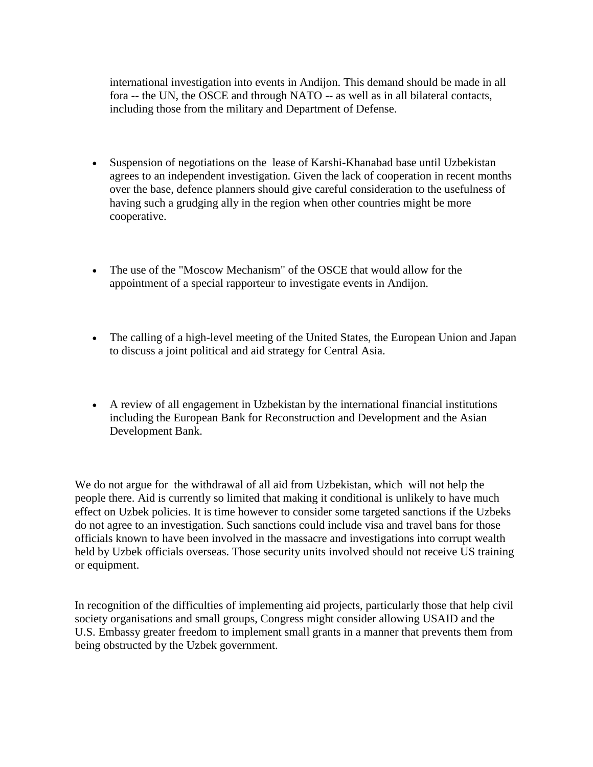international investigation into events in Andijon. This demand should be made in all fora -- the UN, the OSCE and through NATO -- as well as in all bilateral contacts, including those from the military and Department of Defense.

- Suspension of negotiations on the lease of Karshi-Khanabad base until Uzbekistan agrees to an independent investigation. Given the lack of cooperation in recent months over the base, defence planners should give careful consideration to the usefulness of having such a grudging ally in the region when other countries might be more cooperative.
- The use of the "Moscow Mechanism" of the OSCE that would allow for the appointment of a special rapporteur to investigate events in Andijon.
- The calling of a high-level meeting of the United States, the European Union and Japan to discuss a joint political and aid strategy for Central Asia.
- A review of all engagement in Uzbekistan by the international financial institutions including the European Bank for Reconstruction and Development and the Asian Development Bank.

We do not argue for the withdrawal of all aid from Uzbekistan, which will not help the people there. Aid is currently so limited that making it conditional is unlikely to have much effect on Uzbek policies. It is time however to consider some targeted sanctions if the Uzbeks do not agree to an investigation. Such sanctions could include visa and travel bans for those officials known to have been involved in the massacre and investigations into corrupt wealth held by Uzbek officials overseas. Those security units involved should not receive US training or equipment.

In recognition of the difficulties of implementing aid projects, particularly those that help civil society organisations and small groups, Congress might consider allowing USAID and the U.S. Embassy greater freedom to implement small grants in a manner that prevents them from being obstructed by the Uzbek government.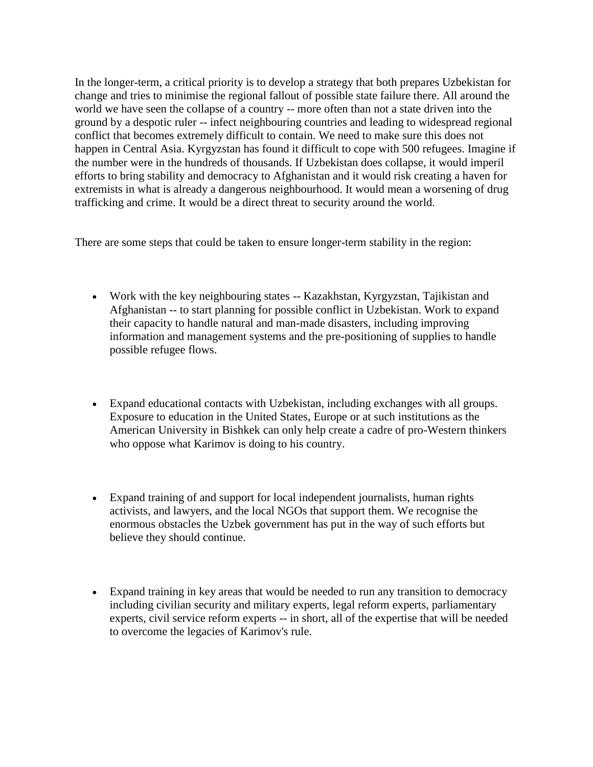In the longer-term, a critical priority is to develop a strategy that both prepares Uzbekistan for change and tries to minimise the regional fallout of possible state failure there. All around the world we have seen the collapse of a country -- more often than not a state driven into the ground by a despotic ruler -- infect neighbouring countries and leading to widespread regional conflict that becomes extremely difficult to contain. We need to make sure this does not happen in Central Asia. Kyrgyzstan has found it difficult to cope with 500 refugees. Imagine if the number were in the hundreds of thousands. If Uzbekistan does collapse, it would imperil efforts to bring stability and democracy to Afghanistan and it would risk creating a haven for extremists in what is already a dangerous neighbourhood. It would mean a worsening of drug trafficking and crime. It would be a direct threat to security around the world.

There are some steps that could be taken to ensure longer-term stability in the region:

- Work with the key neighbouring states -- Kazakhstan, Kyrgyzstan, Tajikistan and Afghanistan -- to start planning for possible conflict in Uzbekistan. Work to expand their capacity to handle natural and man-made disasters, including improving information and management systems and the pre-positioning of supplies to handle possible refugee flows.
- Expand educational contacts with Uzbekistan, including exchanges with all groups. Exposure to education in the United States, Europe or at such institutions as the American University in Bishkek can only help create a cadre of pro-Western thinkers who oppose what Karimov is doing to his country.
- Expand training of and support for local independent journalists, human rights activists, and lawyers, and the local NGOs that support them. We recognise the enormous obstacles the Uzbek government has put in the way of such efforts but believe they should continue.
- Expand training in key areas that would be needed to run any transition to democracy including civilian security and military experts, legal reform experts, parliamentary experts, civil service reform experts -- in short, all of the expertise that will be needed to overcome the legacies of Karimov's rule.